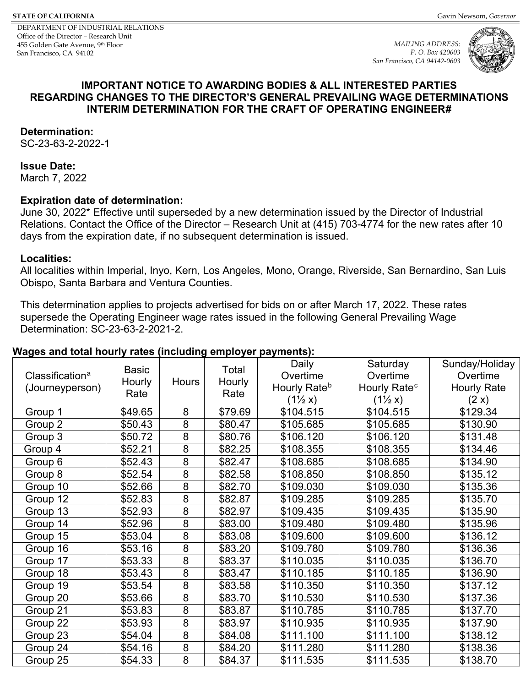DEPARTMENT OF INDUSTRIAL RELATIONS Office of the Director – Research Unit 455 Golden Gate Avenue, 9th Floor San Francisco, CA 94102

<span id="page-0-2"></span>*MAILING ADDRESS: P. O. Box 420603 San Francisco, CA 94142-0603*





#### **IMPORTANT NOTICE TO AWARDING BODIES & ALL INTERESTED PARTIES REGARDING CHANGES TO THE DIRECTOR'S GENERAL PREVAILING WAGE DETERMINATIONS INTERIM DETERMINATION FOR THE CRAFT OF OPERATING ENGINEER[#](#page-10-0)**

#### **Determination:**

SC-23-63-2-2022-1

#### **Issue Date:**

March 7, 2022

#### **Expiration date of determination:**

June 30, 2022\* Effective until superseded by a new determination issued by the Director of Industrial Relations. Contact the Office of the Director – Research Unit at (415) 703-4774 for the new rates after 10 days from the expiration date, if no subsequent determination is issued.

#### **Localities:**

All localities within Imperial, Inyo, Kern, Los Angeles, Mono, Orange, Riverside, San Bernardino, San Luis Obispo, Santa Barbara and Ventura Counties.

This determination applies to projects advertised for bids on or after March 17, 2022. These rates supersede the Operating Engineer wage rates issued in the following General Prevailing Wage Determination: SC-23-63-2-2021-2.

#### **Wages and total hourly rates (including employer payments):**

<span id="page-0-1"></span><span id="page-0-0"></span>

|                             |              |                |         | Daily                    | Saturday                 | Sunday/Holiday     |
|-----------------------------|--------------|----------------|---------|--------------------------|--------------------------|--------------------|
| Classification <sup>a</sup> | <b>Basic</b> |                | Total   | Overtime                 | Overtime                 | Overtime           |
| (Journeyperson)             | Hourly       | Hours          | Hourly  | Hourly Rate <sup>b</sup> | Hourly Rate <sup>c</sup> | <b>Hourly Rate</b> |
|                             | Rate         |                | Rate    | $(1\frac{1}{2}x)$        | $(1\frac{1}{2}x)$        | (2 x)              |
| Group 1                     | \$49.65      | 8              | \$79.69 | \$104.515                | \$104.515                | \$129.34           |
| Group 2                     | \$50.43      | $\overline{8}$ | \$80.47 | \$105.685                | \$105.685                | \$130.90           |
| Group 3                     | \$50.72      | 8              | \$80.76 | \$106.120                | \$106.120                | \$131.48           |
| Group 4                     | \$52.21      | $\overline{8}$ | \$82.25 | \$108.355                | \$108.355                | \$134.46           |
| Group 6                     | \$52.43      | 8              | \$82.47 | \$108.685                | \$108.685                | \$134.90           |
| Group 8                     | \$52.54      | 8              | \$82.58 | \$108.850                | \$108.850                | \$135.12           |
| Group 10                    | \$52.66      | 8              | \$82.70 | \$109.030                | \$109.030                | \$135.36           |
| Group 12                    | \$52.83      | 8              | \$82.87 | \$109.285                | \$109.285                | \$135.70           |
| Group 13                    | \$52.93      | 8              | \$82.97 | \$109.435                | \$109.435                | \$135.90           |
| Group 14                    | \$52.96      | $\overline{8}$ | \$83.00 | \$109.480                | \$109.480                | \$135.96           |
| Group 15                    | \$53.04      | 8              | \$83.08 | \$109.600                | \$109.600                | \$136.12           |
| Group 16                    | \$53.16      | $\overline{8}$ | \$83.20 | \$109.780                | \$109.780                | \$136.36           |
| Group 17                    | \$53.33      | 8              | \$83.37 | \$110.035                | \$110.035                | \$136.70           |
| Group 18                    | \$53.43      | 8              | \$83.47 | \$110.185                | \$110.185                | \$136.90           |
| Group 19                    | \$53.54      | 8              | \$83.58 | \$110.350                | \$110.350                | \$137.12           |
| Group 20                    | \$53.66      | 8              | \$83.70 | \$110.530                | \$110.530                | \$137.36           |
| Group 21                    | \$53.83      | 8              | \$83.87 | \$110.785                | \$110.785                | \$137.70           |
| Group 22                    | \$53.93      | 8              | \$83.97 | \$110.935                | \$110.935                | \$137.90           |
| Group 23                    | \$54.04      | 8              | \$84.08 | \$111.100                | \$111.100                | \$138.12           |
| Group 24                    | \$54.16      | 8              | \$84.20 | \$111.280                | \$111.280                | \$138.36           |
| Group 25                    | \$54.33      | 8              | \$84.37 | \$111.535                | \$111.535                | \$138.70           |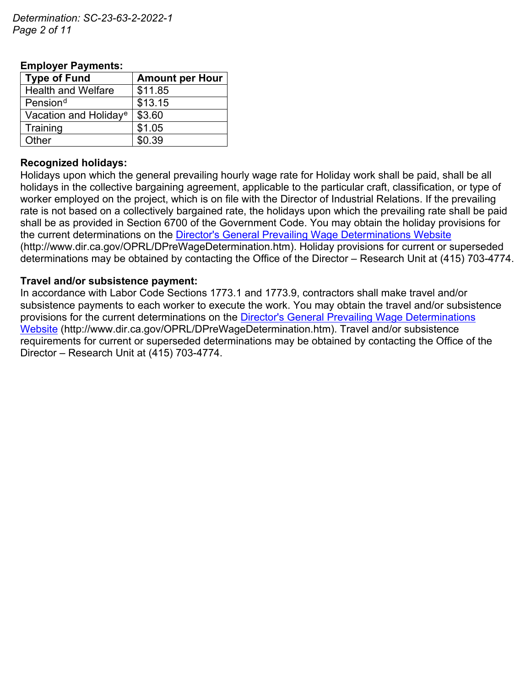*Determination: SC-23-63-2-2022-1 Page 2 of 11*

## **Employer Payments:**

<span id="page-1-1"></span><span id="page-1-0"></span>

| <b>Type of Fund</b>               | <b>Amount per Hour</b> |
|-----------------------------------|------------------------|
| <b>Health and Welfare</b>         | \$11.85                |
| Pension <sup>d</sup>              | \$13.15                |
| Vacation and Holiday <sup>e</sup> | \$3.60                 |
| Training                          | \$1.05                 |
| Other                             | \$0.39                 |

### **Recognized holidays:**

Holidays upon which the general prevailing hourly wage rate for Holiday work shall be paid, shall be all holidays in the collective bargaining agreement, applicable to the particular craft, classification, or type of worker employed on the project, which is on file with the Director of Industrial Relations. If the prevailing rate is not based on a collectively bargained rate, the holidays upon which the prevailing rate shall be paid shall be as provided in Section 6700 of the Government Code. You may obtain the holiday provisions for the current determinations on the [Director's General Prevailing Wage Determinations Website](https://www.dir.ca.gov/OPRL/DPreWageDetermination.htm) (http://www.dir.ca.gov/OPRL/DPreWageDetermination.htm). Holiday provisions for current or superseded determinations may be obtained by contacting the Office of the Director – Research Unit at (415) 703-4774.

#### **Travel and/or subsistence payment:**

In accordance with Labor Code Sections 1773.1 and 1773.9, contractors shall make travel and/or subsistence payments to each worker to execute the work. You may obtain the travel and/or subsistence provisions for the current determinations on the [Director's General Prevailing Wage Determinations](https://www.dir.ca.gov/OPRL/DPreWageDetermination.htm)  [Website](https://www.dir.ca.gov/OPRL/DPreWageDetermination.htm) (http://www.dir.ca.gov/OPRL/DPreWageDetermination.htm). Travel and/or subsistence requirements for current or superseded determinations may be obtained by contacting the Office of the Director – Research Unit at (415) 703-4774.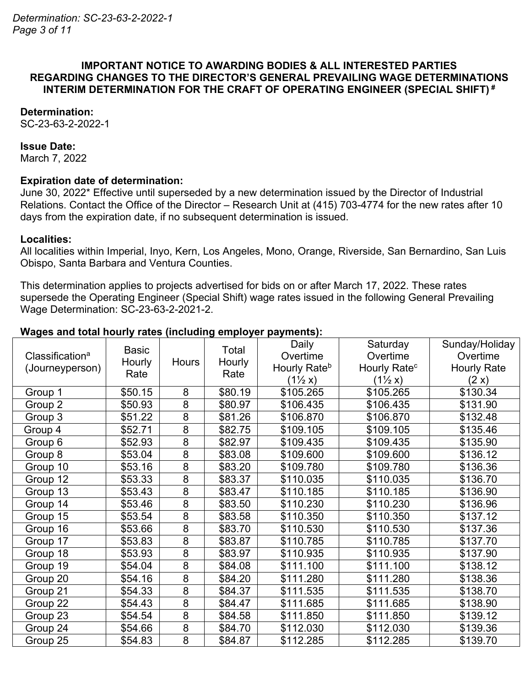## **IMPORTANT NOTICE TO AWARDING BODIES & ALL INTERESTED PARTIES REGARDING CHANGES TO THE DIRECTOR'S GENERAL PREVAILING WAGE DETERMINATIONS INTERIM DETERMINATION FOR THE CRAFT OF OPERATING ENGINEER (SPECIAL SHIFT) #**

## **Determination:**

SC-23-63-2-2022-1

#### **Issue Date:**

March 7, 2022

#### **Expiration date of determination:**

June 30, 2022\* Effective until superseded by a new determination issued by the Director of Industrial Relations. Contact the Office of the Director – Research Unit at (415) 703-4774 for the new rates after 10 days from the expiration date, if no subsequent determination is issued.

#### **Localities:**

All localities within Imperial, Inyo, Kern, Los Angeles, Mono, Orange, Riverside, San Bernardino, San Luis Obispo, Santa Barbara and Ventura Counties.

This determination applies to projects advertised for bids on or after March 17, 2022. These rates supersede the Operating Engineer (Special Shift) wage rates issued in the following General Prevailing Wage Determination: SC-23-63-2-2021-2.

#### **Wages and total hourly rates (including employer payments):**

| Classification <sup>a</sup><br>(Journeyperson) | <b>Basic</b><br>Hourly<br>Rate | Hours          | Total<br>Hourly<br>Rate | Daily<br>Overtime<br>Hourly Rate <sup>b</sup><br>$(1\frac{1}{2}x)$ | Saturday<br>Overtime<br>Hourly Rate <sup>c</sup><br>$(1\frac{1}{2}x)$ | Sunday/Holiday<br>Overtime<br><b>Hourly Rate</b><br>(2 x) |
|------------------------------------------------|--------------------------------|----------------|-------------------------|--------------------------------------------------------------------|-----------------------------------------------------------------------|-----------------------------------------------------------|
| Group 1                                        | \$50.15                        | 8              | \$80.19                 | \$105.265                                                          | \$105.265                                                             | \$130.34                                                  |
| Group 2                                        | \$50.93                        | 8              | \$80.97                 | \$106.435                                                          | \$106.435                                                             | \$131.90                                                  |
| Group 3                                        | \$51.22                        | $\overline{8}$ | \$81.26                 | \$106.870                                                          | \$106.870                                                             | \$132.48                                                  |
| Group 4                                        | \$52.71                        | $\overline{8}$ | \$82.75                 | \$109.105                                                          | \$109.105                                                             | \$135.46                                                  |
| Group 6                                        | \$52.93                        | 8              | \$82.97                 | \$109.435                                                          | \$109.435                                                             | \$135.90                                                  |
| Group 8                                        | \$53.04                        | 8              | \$83.08                 | \$109.600                                                          | \$109.600                                                             | \$136.12                                                  |
| Group 10                                       | \$53.16                        | 8              | \$83.20                 | \$109.780                                                          | \$109.780                                                             | \$136.36                                                  |
| Group 12                                       | \$53.33                        | 8              | \$83.37                 | \$110.035                                                          | \$110.035                                                             | \$136.70                                                  |
| Group 13                                       | \$53.43                        | 8              | \$83.47                 | \$110.185                                                          | \$110.185                                                             | \$136.90                                                  |
| Group 14                                       | \$53.46                        | 8              | \$83.50                 | \$110.230                                                          | \$110.230                                                             | \$136.96                                                  |
| Group 15                                       | \$53.54                        | 8              | \$83.58                 | \$110.350                                                          | \$110.350                                                             | \$137.12                                                  |
| Group 16                                       | \$53.66                        | $\overline{8}$ | \$83.70                 | \$110.530                                                          | \$110.530                                                             | \$137.36                                                  |
| Group 17                                       | \$53.83                        | 8              | \$83.87                 | \$110.785                                                          | \$110.785                                                             | \$137.70                                                  |
| Group 18                                       | \$53.93                        | $\overline{8}$ | \$83.97                 | \$110.935                                                          | \$110.935                                                             | \$137.90                                                  |
| Group 19                                       | \$54.04                        | 8              | \$84.08                 | \$111.100                                                          | \$111.100                                                             | \$138.12                                                  |
| Group 20                                       | \$54.16                        | 8              | \$84.20                 | \$111.280                                                          | \$111.280                                                             | \$138.36                                                  |
| Group 21                                       | \$54.33                        | 8              | \$84.37                 | \$111.535                                                          | \$111.535                                                             | \$138.70                                                  |
| Group 22                                       | \$54.43                        | 8              | \$84.47                 | \$111.685                                                          | \$111.685                                                             | \$138.90                                                  |
| Group 23                                       | \$54.54                        | 8              | \$84.58                 | \$111.850                                                          | \$111.850                                                             | \$139.12                                                  |
| Group 24                                       | \$54.66                        | 8              | \$84.70                 | \$112.030                                                          | \$112.030                                                             | \$139.36                                                  |
| Group 25                                       | \$54.83                        | 8              | \$84.87                 | \$112.285                                                          | \$112.285                                                             | \$139.70                                                  |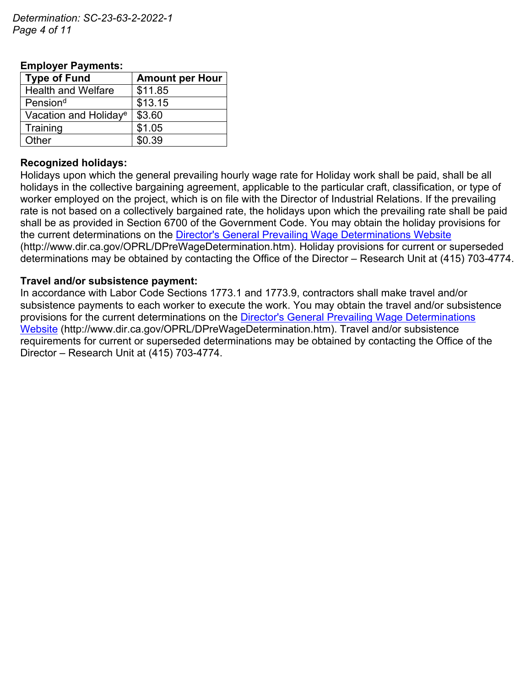*Determination: SC-23-63-2-2022-1 Page 4 of 11*

| <b>Type of Fund</b>               | <b>Amount per Hour</b> |  |  |  |  |
|-----------------------------------|------------------------|--|--|--|--|
| <b>Health and Welfare</b>         | \$11.85                |  |  |  |  |
| Pension <sup>d</sup>              | \$13.15                |  |  |  |  |
| Vacation and Holiday <sup>e</sup> | \$3.60                 |  |  |  |  |
| Training                          | \$1.05                 |  |  |  |  |
| Other                             | \$0.39                 |  |  |  |  |

## **Employer Payments:**

#### **Recognized holidays:**

Holidays upon which the general prevailing hourly wage rate for Holiday work shall be paid, shall be all holidays in the collective bargaining agreement, applicable to the particular craft, classification, or type of worker employed on the project, which is on file with the Director of Industrial Relations. If the prevailing rate is not based on a collectively bargained rate, the holidays upon which the prevailing rate shall be paid shall be as provided in Section 6700 of the Government Code. You may obtain the holiday provisions for the current determinations on the [Director's General Prevailing Wage Determinations Website](https://www.dir.ca.gov/OPRL/DPreWageDetermination.htm) (http://www.dir.ca.gov/OPRL/DPreWageDetermination.htm). Holiday provisions for current or superseded determinations may be obtained by contacting the Office of the Director – Research Unit at (415) 703-4774.

#### **Travel and/or subsistence payment:**

In accordance with Labor Code Sections 1773.1 and 1773.9, contractors shall make travel and/or subsistence payments to each worker to execute the work. You may obtain the travel and/or subsistence provisions for the current determinations on the [Director's General Prevailing Wage Determinations](https://www.dir.ca.gov/OPRL/DPreWageDetermination.htm)  [Website](https://www.dir.ca.gov/OPRL/DPreWageDetermination.htm) (http://www.dir.ca.gov/OPRL/DPreWageDetermination.htm). Travel and/or subsistence requirements for current or superseded determinations may be obtained by contacting the Office of the Director – Research Unit at (415) 703-4774.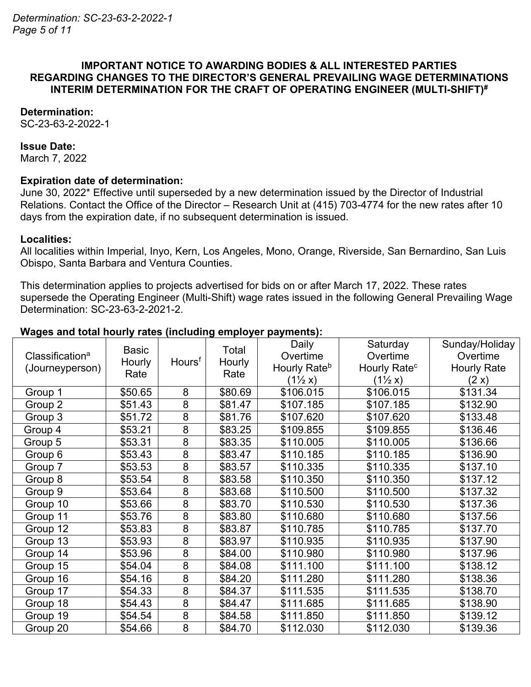## **IMPORTANT NOTICE TO AWARDING BODIES & ALL INTERESTED PARTIES REGARDING CHANGES TO THE DIRECTOR'S GENERAL PREVAILING WAGE DETERMINATIONS INTERIM DETERMINATION FOR THE CRAFT OF OPERATING ENGINEER (MULTI-SHIFT)#**

### **Determination:**

SC-23-63-2-2022-1

#### **Issue Date:**

March 7, 2022

#### **Expiration date of determination:**

June 30, 2022\* Effective until superseded by a new determination issued by the Director of Industrial Relations. Contact the Office of the Director – Research Unit at (415) 703-4774 for the new rates after 10 days from the expiration date, if no subsequent determination is issued.

#### **Localities:**

All localities within Imperial, Inyo, Kern, Los Angeles, Mono, Orange, Riverside, San Bernardino, San Luis Obispo, Santa Barbara and Ventura Counties.

This determination applies to projects advertised for bids on or after March 17, 2022. These rates supersede the Operating Engineer (Multi-Shift) wage rates issued in the following General Prevailing Wage Determination: SC-23-63-2-2021-2.

## **Wages and total hourly rates (including employer payments):**

|                             | <b>Basic</b> |                    | Total   | Daily                    | Saturday                 | Sunday/Holiday     |
|-----------------------------|--------------|--------------------|---------|--------------------------|--------------------------|--------------------|
| Classification <sup>a</sup> | Hourly       | Hours <sup>f</sup> | Hourly  | Overtime                 | Overtime                 | Overtime           |
| (Journeyperson)             | Rate         |                    | Rate    | Hourly Rate <sup>b</sup> | Hourly Rate <sup>c</sup> | <b>Hourly Rate</b> |
|                             |              |                    |         | $(1\frac{1}{2}x)$        | $(1\frac{1}{2}x)$        | (2 x)              |
| Group 1                     | \$50.65      | 8                  | \$80.69 | \$106.015                | \$106.015                | \$131.34           |
| Group 2                     | \$51.43      | 8                  | \$81.47 | \$107.185                | \$107.185                | \$132.90           |
| Group 3                     | \$51.72      | 8                  | \$81.76 | \$107.620                | \$107.620                | \$133.48           |
| Group 4                     | \$53.21      | 8                  | \$83.25 | \$109.855                | \$109.855                | \$136.46           |
| Group 5                     | \$53.31      | 8                  | \$83.35 | \$110.005                | \$110.005                | \$136.66           |
| Group 6                     | \$53.43      | 8                  | \$83.47 | \$110.185                | \$110.185                | \$136.90           |
| Group 7                     | \$53.53      | 8                  | \$83.57 | \$110.335                | \$110.335                | \$137.10           |
| Group 8                     | \$53.54      | 8                  | \$83.58 | \$110.350                | \$110.350                | \$137.12           |
| Group 9                     | \$53.64      | 8                  | \$83.68 | \$110.500                | \$110.500                | \$137.32           |
| Group 10                    | \$53.66      | 8                  | \$83.70 | \$110.530                | \$110.530                | \$137.36           |
| Group 11                    | \$53.76      | 8                  | \$83.80 | \$110.680                | \$110.680                | \$137.56           |
| Group 12                    | \$53.83      | 8                  | \$83.87 | \$110.785                | \$110.785                | \$137.70           |
| Group 13                    | \$53.93      | 8                  | \$83.97 | \$110.935                | \$110.935                | \$137.90           |
| Group 14                    | \$53.96      | 8                  | \$84.00 | \$110.980                | \$110.980                | \$137.96           |
| Group 15                    | \$54.04      | 8                  | \$84.08 | \$111.100                | \$111.100                | \$138.12           |
| Group 16                    | \$54.16      | 8                  | \$84.20 | \$111.280                | \$111.280                | \$138.36           |
| Group 17                    | \$54.33      | 8                  | \$84.37 | \$111.535                | \$111.535                | \$138.70           |
| Group 18                    | \$54.43      | 8                  | \$84.47 | \$111.685                | \$111.685                | \$138.90           |
| Group 19                    | \$54.54      | $\overline{8}$     | \$84.58 | \$111.850                | \$111.850                | \$139.12           |
| Group 20                    | \$54.66      | 8                  | \$84.70 | \$112.030                | \$112.030                | \$139.36           |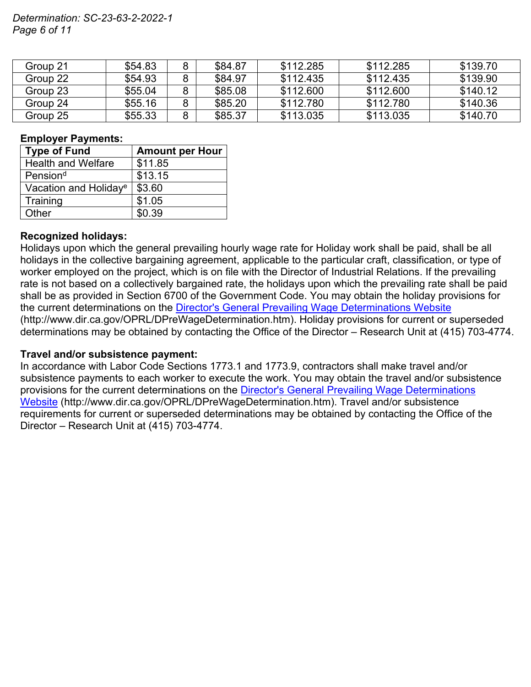## *Determination: SC-23-63-2-2022-1 Page 6 of 11*

| Group 21 | \$54.83 | \$84.87 | \$112.285 | \$112.285 | \$139.70 |
|----------|---------|---------|-----------|-----------|----------|
| Group 22 | \$54.93 | \$84.97 | \$112.435 | \$112.435 | \$139.90 |
| Group 23 | \$55.04 | \$85.08 | \$112,600 | \$112,600 | \$140.12 |
| Group 24 | \$55.16 | \$85.20 | \$112.780 | \$112.780 | \$140.36 |
| Group 25 | \$55.33 | \$85.37 | \$113.035 | \$113.035 | \$140.70 |

### **Employer Payments:**

| <b>Type of Fund</b>               | <b>Amount per Hour</b> |  |  |
|-----------------------------------|------------------------|--|--|
| <b>Health and Welfare</b>         | \$11.85                |  |  |
| Pension <sup>d</sup>              | \$13.15                |  |  |
| Vacation and Holiday <sup>e</sup> | \$3.60                 |  |  |
| Training                          | \$1.05                 |  |  |
| Other                             | \$0.39                 |  |  |

## **Recognized holidays:**

Holidays upon which the general prevailing hourly wage rate for Holiday work shall be paid, shall be all holidays in the collective bargaining agreement, applicable to the particular craft, classification, or type of worker employed on the project, which is on file with the Director of Industrial Relations. If the prevailing rate is not based on a collectively bargained rate, the holidays upon which the prevailing rate shall be paid shall be as provided in Section 6700 of the Government Code. You may obtain the holiday provisions for the current determinations on the [Director's General Prevailing Wage Determinations Website](https://www.dir.ca.gov/OPRL/DPreWageDetermination.htm) (http://www.dir.ca.gov/OPRL/DPreWageDetermination.htm). Holiday provisions for current or superseded determinations may be obtained by contacting the Office of the Director – Research Unit at (415) 703-4774.

## **Travel and/or subsistence payment:**

In accordance with Labor Code Sections 1773.1 and 1773.9, contractors shall make travel and/or subsistence payments to each worker to execute the work. You may obtain the travel and/or subsistence provisions for the current determinations on the [Director's General Prevailing Wage Determinations](https://www.dir.ca.gov/OPRL/DPreWageDetermination.htm)  [Website](https://www.dir.ca.gov/OPRL/DPreWageDetermination.htm) (http://www.dir.ca.gov/OPRL/DPreWageDetermination.htm). Travel and/or subsistence requirements for current or superseded determinations may be obtained by contacting the Office of the Director – Research Unit at (415) 703-4774.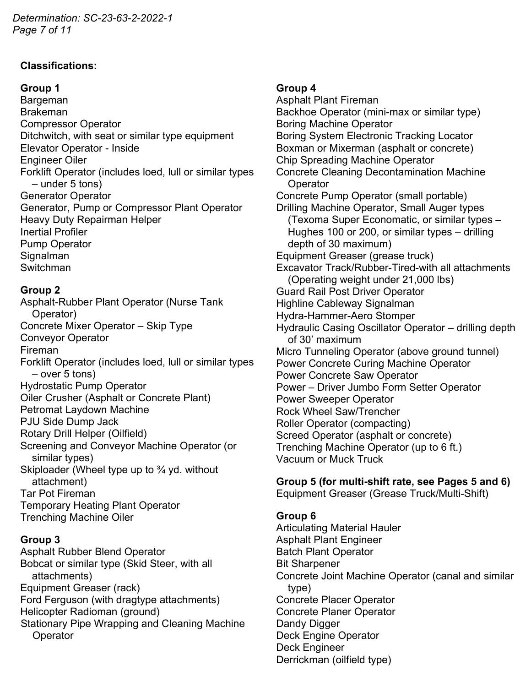*Determination: SC-23-63-2-2022-1 Page 7 of 11*

## **Classifications:**

## **Group 1**

Bargeman Brakeman Compressor Operator Ditchwitch, with seat or similar type equipment Elevator Operator - Inside Engineer Oiler Forklift Operator (includes loed, lull or similar types – under 5 tons) Generator Operator Generator, Pump or Compressor Plant Operator Heavy Duty Repairman Helper Inertial Profiler Pump Operator Signalman Switchman

## **Group 2**

Asphalt-Rubber Plant Operator (Nurse Tank Operator) Concrete Mixer Operator – Skip Type Conveyor Operator Fireman Forklift Operator (includes loed, lull or similar types – over 5 tons) Hydrostatic Pump Operator Oiler Crusher (Asphalt or Concrete Plant) Petromat Laydown Machine PJU Side Dump Jack Rotary Drill Helper (Oilfield) Screening and Conveyor Machine Operator (or similar types) Skiploader (Wheel type up to ¾ yd. without attachment) Tar Pot Fireman Temporary Heating Plant Operator Trenching Machine Oiler

## **Group 3**

Asphalt Rubber Blend Operator Bobcat or similar type (Skid Steer, with all attachments) Equipment Greaser (rack) Ford Ferguson (with dragtype attachments) Helicopter Radioman (ground) Stationary Pipe Wrapping and Cleaning Machine **Operator** 

### **Group 4**

Asphalt Plant Fireman Backhoe Operator (mini-max or similar type) Boring Machine Operator Boring System Electronic Tracking Locator Boxman or Mixerman (asphalt or concrete) Chip Spreading Machine Operator Concrete Cleaning Decontamination Machine **Operator** Concrete Pump Operator (small portable) Drilling Machine Operator, Small Auger types (Texoma Super Economatic, or similar types – Hughes 100 or 200, or similar types – drilling depth of 30 maximum) Equipment Greaser (grease truck) Excavator Track/Rubber-Tired-with all attachments (Operating weight under 21,000 lbs) Guard Rail Post Driver Operator Highline Cableway Signalman Hydra-Hammer-Aero Stomper Hydraulic Casing Oscillator Operator – drilling depth of 30' maximum Micro Tunneling Operator (above ground tunnel) Power Concrete Curing Machine Operator Power Concrete Saw Operator Power – Driver Jumbo Form Setter Operator Power Sweeper Operator Rock Wheel Saw/Trencher Roller Operator (compacting) Screed Operator (asphalt or concrete) Trenching Machine Operator (up to 6 ft.) Vacuum or Muck Truck

## **Group 5 (for multi-shift rate, see Pages 5 and 6)**

Equipment Greaser (Grease Truck/Multi-Shift)

## **Group 6**

Articulating Material Hauler Asphalt Plant Engineer Batch Plant Operator Bit Sharpener Concrete Joint Machine Operator (canal and similar type) Concrete Placer Operator Concrete Planer Operator Dandy Digger Deck Engine Operator Deck Engineer Derrickman (oilfield type)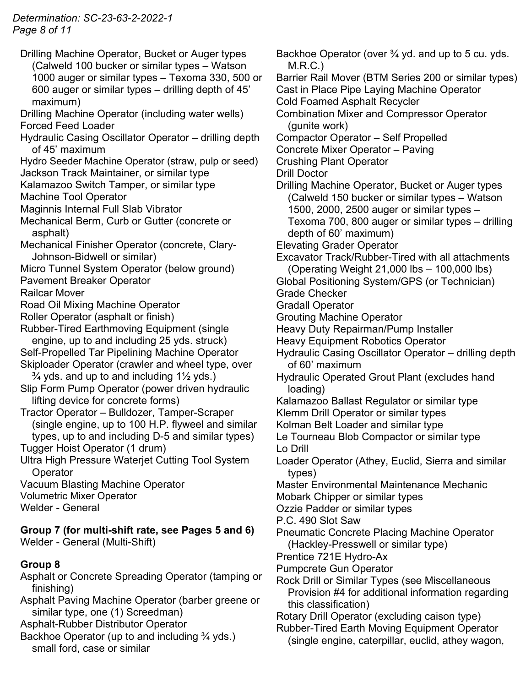*Determination: SC-23-63-2-2022-1 Page 8 of 11*

- Drilling Machine Operator, Bucket or Auger types (Calweld 100 bucker or similar types – Watson 1000 auger or similar types – Texoma 330, 500 or 600 auger or similar types – drilling depth of 45' maximum)
- Drilling Machine Operator (including water wells) Forced Feed Loader
- Hydraulic Casing Oscillator Operator drilling depth of 45' maximum
- Hydro Seeder Machine Operator (straw, pulp or seed) Jackson Track Maintainer, or similar type
- Kalamazoo Switch Tamper, or similar type
- Machine Tool Operator
- Maginnis Internal Full Slab Vibrator
- Mechanical Berm, Curb or Gutter (concrete or asphalt)
- Mechanical Finisher Operator (concrete, Clary-Johnson-Bidwell or similar)
- Micro Tunnel System Operator (below ground) Pavement Breaker Operator
- Railcar Mover
- Road Oil Mixing Machine Operator
- Roller Operator (asphalt or finish)
- Rubber-Tired Earthmoving Equipment (single engine, up to and including 25 yds. struck) Self-Propelled Tar Pipelining Machine Operator
- Skiploader Operator (crawler and wheel type, over  $\frac{3}{4}$  yds. and up to and including 1 $\frac{1}{2}$  yds.)
- Slip Form Pump Operator (power driven hydraulic lifting device for concrete forms)
- Tractor Operator Bulldozer, Tamper-Scraper (single engine, up to 100 H.P. flyweel and similar types, up to and including D-5 and similar types)
- Tugger Hoist Operator (1 drum)
- Ultra High Pressure Waterjet Cutting Tool System **Operator**
- Vacuum Blasting Machine Operator Volumetric Mixer Operator Welder - General

# **Group 7 (for multi-shift rate, see Pages 5 and 6)**

Welder - General (Multi-Shift)

# **Group 8**

- Asphalt or Concrete Spreading Operator (tamping or finishing)
- Asphalt Paving Machine Operator (barber greene or similar type, one (1) Screedman)

Asphalt-Rubber Distributor Operator

- Backhoe Operator (up to and including ¾ yds.) small ford, case or similar
- Backhoe Operator (over <sup>3/4</sup> yd. and up to 5 cu. yds. M.R.C.) Barrier Rail Mover (BTM Series 200 or similar types) Cast in Place Pipe Laying Machine Operator Cold Foamed Asphalt Recycler Combination Mixer and Compressor Operator (gunite work) Compactor Operator – Self Propelled Concrete Mixer Operator – Paving Crushing Plant Operator Drill Doctor Drilling Machine Operator, Bucket or Auger types (Calweld 150 bucker or similar types – Watson 1500, 2000, 2500 auger or similar types – Texoma 700, 800 auger or similar types – drilling depth of 60' maximum) Elevating Grader Operator Excavator Track/Rubber-Tired with all attachments (Operating Weight 21,000 lbs – 100,000 lbs) Global Positioning System/GPS (or Technician) Grade Checker Gradall Operator Grouting Machine Operator Heavy Duty Repairman/Pump Installer Heavy Equipment Robotics Operator Hydraulic Casing Oscillator Operator – drilling depth of 60' maximum Hydraulic Operated Grout Plant (excludes hand loading) Kalamazoo Ballast Regulator or similar type Klemm Drill Operator or similar types Kolman Belt Loader and similar type Le Tourneau Blob Compactor or similar type Lo Drill Loader Operator (Athey, Euclid, Sierra and similar types) Master Environmental Maintenance Mechanic Mobark Chipper or similar types Ozzie Padder or similar types P.C. 490 Slot Saw Pneumatic Concrete Placing Machine Operator (Hackley-Presswell or similar type) Prentice 721E Hydro-Ax Pumpcrete Gun Operator Rock Drill or Similar Types (see Miscellaneous Provision #4 for additional information regarding this classification) Rotary Drill Operator (excluding caison type) Rubber-Tired Earth Moving Equipment Operator (single engine, caterpillar, euclid, athey wagon,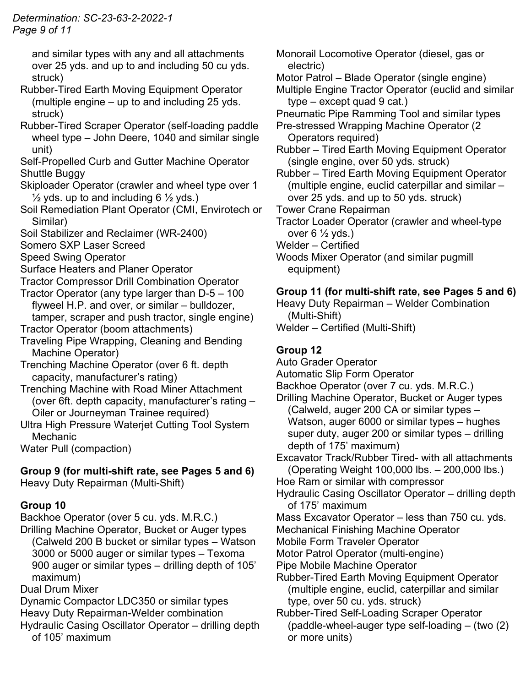## *Determination: SC-23-63-2-2022-1 Page 9 of 11*

and similar types with any and all attachments over 25 yds. and up to and including 50 cu yds. struck)

- Rubber-Tired Earth Moving Equipment Operator (multiple engine – up to and including 25 yds. struck)
- Rubber-Tired Scraper Operator (self-loading paddle wheel type – John Deere, 1040 and similar single unit)

Self-Propelled Curb and Gutter Machine Operator Shuttle Buggy

- Skiploader Operator (crawler and wheel type over 1  $\frac{1}{2}$  yds. up to and including 6  $\frac{1}{2}$  yds.)
- Soil Remediation Plant Operator (CMI, Envirotech or Similar)
- Soil Stabilizer and Reclaimer (WR-2400)

Somero SXP Laser Screed

Speed Swing Operator

Surface Heaters and Planer Operator

- Tractor Compressor Drill Combination Operator
- Tractor Operator (any type larger than D-5 100 flyweel H.P. and over, or similar – bulldozer, tamper, scraper and push tractor, single engine)
- Tractor Operator (boom attachments)
- Traveling Pipe Wrapping, Cleaning and Bending Machine Operator)

Trenching Machine Operator (over 6 ft. depth capacity, manufacturer's rating)

Trenching Machine with Road Miner Attachment (over 6ft. depth capacity, manufacturer's rating – Oiler or Journeyman Trainee required)

Ultra High Pressure Waterjet Cutting Tool System **Mechanic** 

Water Pull (compaction)

# **Group 9 (for multi-shift rate, see Pages 5 and 6)**

Heavy Duty Repairman (Multi-Shift)

# **Group 10**

Backhoe Operator (over 5 cu. yds. M.R.C.)

Drilling Machine Operator, Bucket or Auger types (Calweld 200 B bucket or similar types – Watson 3000 or 5000 auger or similar types – Texoma 900 auger or similar types – drilling depth of 105' maximum)

Dual Drum Mixer

Dynamic Compactor LDC350 or similar types Heavy Duty Repairman-Welder combination

Hydraulic Casing Oscillator Operator – drilling depth of 105' maximum

Monorail Locomotive Operator (diesel, gas or electric)

Motor Patrol – Blade Operator (single engine)

Multiple Engine Tractor Operator (euclid and similar  $type - except quad 9 cat.$ )

- Pneumatic Pipe Ramming Tool and similar types
- Pre-stressed Wrapping Machine Operator (2 Operators required)

Rubber – Tired Earth Moving Equipment Operator (single engine, over 50 yds. struck)

Rubber – Tired Earth Moving Equipment Operator (multiple engine, euclid caterpillar and similar – over 25 yds. and up to 50 yds. struck)

- Tower Crane Repairman
- Tractor Loader Operator (crawler and wheel-type over  $6\frac{1}{2}$  yds.)
- Welder Certified

Woods Mixer Operator (and similar pugmill equipment)

# **Group 11 (for multi-shift rate, see Pages 5 and 6)**

Heavy Duty Repairman – Welder Combination (Multi-Shift)

Welder – Certified (Multi-Shift)

# **Group 12**

Auto Grader Operator

Automatic Slip Form Operator

Backhoe Operator (over 7 cu. yds. M.R.C.)

Drilling Machine Operator, Bucket or Auger types (Calweld, auger 200 CA or similar types – Watson, auger 6000 or similar types – hughes super duty, auger 200 or similar types – drilling depth of 175' maximum)

Excavator Track/Rubber Tired- with all attachments (Operating Weight 100,000 lbs. – 200,000 lbs.)

- Hoe Ram or similar with compressor
- Hydraulic Casing Oscillator Operator drilling depth of 175' maximum

Mass Excavator Operator – less than 750 cu. yds.

Mechanical Finishing Machine Operator

Mobile Form Traveler Operator

Motor Patrol Operator (multi-engine)

- Pipe Mobile Machine Operator
- Rubber-Tired Earth Moving Equipment Operator (multiple engine, euclid, caterpillar and similar type, over 50 cu. yds. struck)
- Rubber-Tired Self-Loading Scraper Operator (paddle-wheel-auger type self-loading – (two (2) or more units)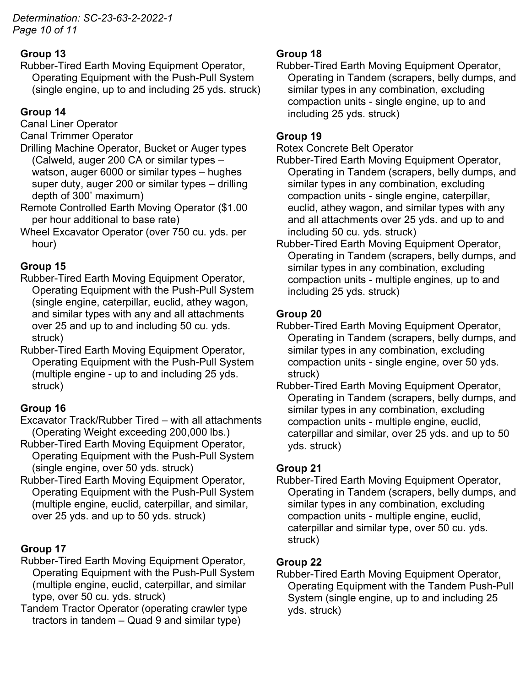*Determination: SC-23-63-2-2022-1 Page 10 of 11*

# **Group 13**

Rubber-Tired Earth Moving Equipment Operator, Operating Equipment with the Push-Pull System (single engine, up to and including 25 yds. struck)

# **Group 14**

Canal Liner Operator

Canal Trimmer Operator

- Drilling Machine Operator, Bucket or Auger types (Calweld, auger 200 CA or similar types – watson, auger 6000 or similar types – hughes super duty, auger 200 or similar types – drilling depth of 300' maximum)
- Remote Controlled Earth Moving Operator (\$1.00 per hour additional to base rate)
- Wheel Excavator Operator (over 750 cu. yds. per hour)

# **Group 15**

- Rubber-Tired Earth Moving Equipment Operator, Operating Equipment with the Push-Pull System (single engine, caterpillar, euclid, athey wagon, and similar types with any and all attachments over 25 and up to and including 50 cu. yds. struck)
- Rubber-Tired Earth Moving Equipment Operator, Operating Equipment with the Push-Pull System (multiple engine - up to and including 25 yds. struck)

# **Group 16**

- Excavator Track/Rubber Tired with all attachments (Operating Weight exceeding 200,000 lbs.)
- Rubber-Tired Earth Moving Equipment Operator, Operating Equipment with the Push-Pull System (single engine, over 50 yds. struck)
- Rubber-Tired Earth Moving Equipment Operator, Operating Equipment with the Push-Pull System (multiple engine, euclid, caterpillar, and similar, over 25 yds. and up to 50 yds. struck)

# **Group 17**

- Rubber-Tired Earth Moving Equipment Operator, Operating Equipment with the Push-Pull System (multiple engine, euclid, caterpillar, and similar type, over 50 cu. yds. struck)
- Tandem Tractor Operator (operating crawler type tractors in tandem – Quad 9 and similar type)

# **Group 18**

Rubber-Tired Earth Moving Equipment Operator, Operating in Tandem (scrapers, belly dumps, and similar types in any combination, excluding compaction units - single engine, up to and including 25 yds. struck)

# **Group 19**

Rotex Concrete Belt Operator

- Rubber-Tired Earth Moving Equipment Operator, Operating in Tandem (scrapers, belly dumps, and similar types in any combination, excluding compaction units - single engine, caterpillar, euclid, athey wagon, and similar types with any and all attachments over 25 yds. and up to and including 50 cu. yds. struck)
- Rubber-Tired Earth Moving Equipment Operator, Operating in Tandem (scrapers, belly dumps, and similar types in any combination, excluding compaction units - multiple engines, up to and including 25 yds. struck)

# **Group 20**

- Rubber-Tired Earth Moving Equipment Operator, Operating in Tandem (scrapers, belly dumps, and similar types in any combination, excluding compaction units - single engine, over 50 yds. struck)
- Rubber-Tired Earth Moving Equipment Operator, Operating in Tandem (scrapers, belly dumps, and similar types in any combination, excluding compaction units - multiple engine, euclid, caterpillar and similar, over 25 yds. and up to 50 yds. struck)

# **Group 21**

Rubber-Tired Earth Moving Equipment Operator, Operating in Tandem (scrapers, belly dumps, and similar types in any combination, excluding compaction units - multiple engine, euclid, caterpillar and similar type, over 50 cu. yds. struck)

# **Group 22**

Rubber-Tired Earth Moving Equipment Operator, Operating Equipment with the Tandem Push-Pull System (single engine, up to and including 25 yds. struck)